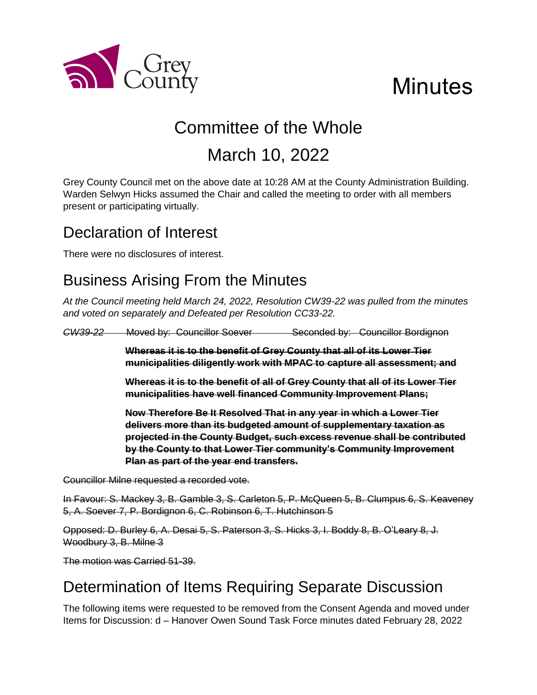

# **Minutes**

# Committee of the Whole March 10, 2022

Grey County Council met on the above date at 10:28 AM at the County Administration Building. Warden Selwyn Hicks assumed the Chair and called the meeting to order with all members present or participating virtually.

## Declaration of Interest

There were no disclosures of interest.

# Business Arising From the Minutes

*At the Council meeting held March 24, 2022, Resolution CW39-22 was pulled from the minutes and voted on separately and Defeated per Resolution CC33-22.*

*CW39-22* Moved by: Councillor Soever Seconded by: Councillor Bordignon

**Whereas it is to the benefit of Grey County that all of its Lower Tier municipalities diligently work with MPAC to capture all assessment; and**

**Whereas it is to the benefit of all of Grey County that all of its Lower Tier municipalities have well financed Community Improvement Plans;**

**Now Therefore Be It Resolved That in any year in which a Lower Tier delivers more than its budgeted amount of supplementary taxation as projected in the County Budget, such excess revenue shall be contributed by the County to that Lower Tier community's Community Improvement Plan as part of the year end transfers.**

Councillor Milne requested a recorded vote.

In Favour: S. Mackey 3, B. Gamble 3, S. Carleton 5, P. McQueen 5, B. Clumpus 6, S. Keaveney 5, A. Soever 7, P. Bordignon 6, C. Robinson 6, T. Hutchinson 5

Opposed: D. Burley 6, A. Desai 5, S. Paterson 3, S. Hicks 3, I. Boddy 8, B. O'Leary 8, J. Woodbury 3, B. Milne 3

The motion was Carried 51-39.

# Determination of Items Requiring Separate Discussion

The following items were requested to be removed from the Consent Agenda and moved under Items for Discussion: d – Hanover Owen Sound Task Force minutes dated February 28, 2022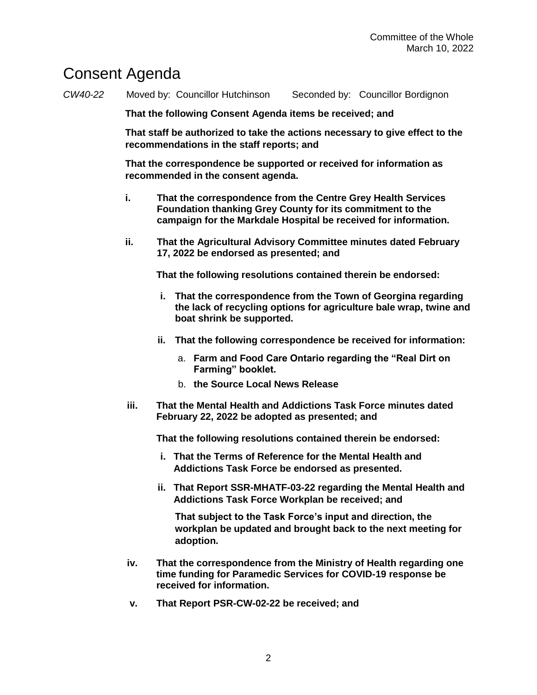## Consent Agenda

*CW40-22* Moved by: Councillor Hutchinson Seconded by: Councillor Bordignon

**That the following Consent Agenda items be received; and**

**That staff be authorized to take the actions necessary to give effect to the recommendations in the staff reports; and**

**That the correspondence be supported or received for information as recommended in the consent agenda.** 

- **i. That the correspondence from the Centre Grey Health Services Foundation thanking Grey County for its commitment to the campaign for the Markdale Hospital be received for information.**
- **ii. That the Agricultural Advisory Committee minutes dated February 17, 2022 be endorsed as presented; and**

**That the following resolutions contained therein be endorsed:**

- **i. That the correspondence from the Town of Georgina regarding the lack of recycling options for agriculture bale wrap, twine and boat shrink be supported.**
- **ii. That the following correspondence be received for information:**
	- a. **Farm and Food Care Ontario regarding the "Real Dirt on Farming" booklet.**
	- b. **the Source Local News Release**
- **iii. That the Mental Health and Addictions Task Force minutes dated February 22, 2022 be adopted as presented; and**

**That the following resolutions contained therein be endorsed:**

- **i. That the Terms of Reference for the Mental Health and Addictions Task Force be endorsed as presented.**
- **ii. That Report SSR-MHATF-03-22 regarding the Mental Health and Addictions Task Force Workplan be received; and**

**That subject to the Task Force's input and direction, the workplan be updated and brought back to the next meeting for adoption.**

- **iv. That the correspondence from the Ministry of Health regarding one time funding for Paramedic Services for COVID-19 response be received for information.**
- **v. That Report PSR-CW-02-22 be received; and**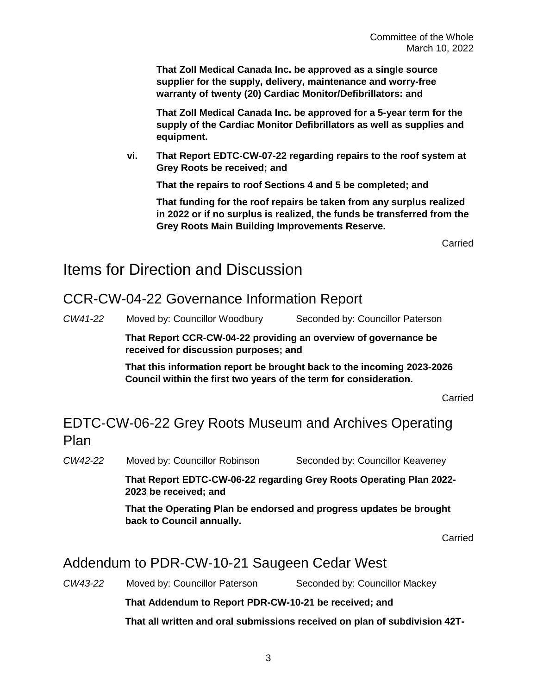**That Zoll Medical Canada Inc. be approved as a single source supplier for the supply, delivery, maintenance and worry-free warranty of twenty (20) Cardiac Monitor/Defibrillators: and**

**That Zoll Medical Canada Inc. be approved for a 5-year term for the supply of the Cardiac Monitor Defibrillators as well as supplies and equipment.**

**vi. That Report EDTC-CW-07-22 regarding repairs to the roof system at Grey Roots be received; and**

**That the repairs to roof Sections 4 and 5 be completed; and**

**That funding for the roof repairs be taken from any surplus realized in 2022 or if no surplus is realized, the funds be transferred from the Grey Roots Main Building Improvements Reserve.**

Carried

### Items for Direction and Discussion

#### CCR-CW-04-22 Governance Information Report

*CW41-22* Moved by: Councillor Woodbury Seconded by: Councillor Paterson

**That Report CCR-CW-04-22 providing an overview of governance be received for discussion purposes; and**

**That this information report be brought back to the incoming 2023-2026 Council within the first two years of the term for consideration.**

Carried

### EDTC-CW-06-22 Grey Roots Museum and Archives Operating Plan

*CW42-22* Moved by: Councillor Robinson Seconded by: Councillor Keaveney

**That Report EDTC-CW-06-22 regarding Grey Roots Operating Plan 2022- 2023 be received; and**

**That the Operating Plan be endorsed and progress updates be brought back to Council annually.**

Carried

#### Addendum to PDR-CW-10-21 Saugeen Cedar West

*CW43-22* Moved by: Councillor Paterson Seconded by: Councillor Mackey

**That Addendum to Report PDR-CW-10-21 be received; and**

**That all written and oral submissions received on plan of subdivision 42T-**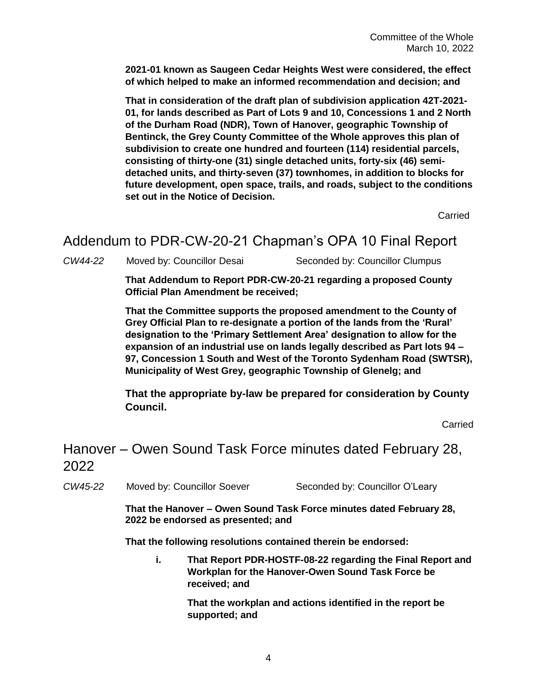**2021-01 known as Saugeen Cedar Heights West were considered, the effect of which helped to make an informed recommendation and decision; and**

**That in consideration of the draft plan of subdivision application 42T-2021- 01, for lands described as Part of Lots 9 and 10, Concessions 1 and 2 North of the Durham Road (NDR), Town of Hanover, geographic Township of Bentinck, the Grey County Committee of the Whole approves this plan of subdivision to create one hundred and fourteen (114) residential parcels, consisting of thirty-one (31) single detached units, forty-six (46) semidetached units, and thirty-seven (37) townhomes, in addition to blocks for future development, open space, trails, and roads, subject to the conditions set out in the Notice of Decision.**

Carried

#### Addendum to PDR-CW-20-21 Chapman's OPA 10 Final Report

CW44-22 Moved by: Councillor Desai Seconded by: Councillor Clumpus

**That Addendum to Report PDR-CW-20-21 regarding a proposed County Official Plan Amendment be received;** 

**That the Committee supports the proposed amendment to the County of Grey Official Plan to re-designate a portion of the lands from the 'Rural' designation to the 'Primary Settlement Area' designation to allow for the expansion of an industrial use on lands legally described as Part lots 94 – 97, Concession 1 South and West of the Toronto Sydenham Road (SWTSR), Municipality of West Grey, geographic Township of Glenelg; and**

**That the appropriate by-law be prepared for consideration by County Council.** 

Carried

## Hanover – Owen Sound Task Force minutes dated February 28, 2022

*CW45-22* Moved by: Councillor Soever Seconded by: Councillor O'Leary

**That the Hanover – Owen Sound Task Force minutes dated February 28, 2022 be endorsed as presented; and** 

**That the following resolutions contained therein be endorsed:**

**i. That Report PDR-HOSTF-08-22 regarding the Final Report and Workplan for the Hanover-Owen Sound Task Force be received; and**

> **That the workplan and actions identified in the report be supported; and**